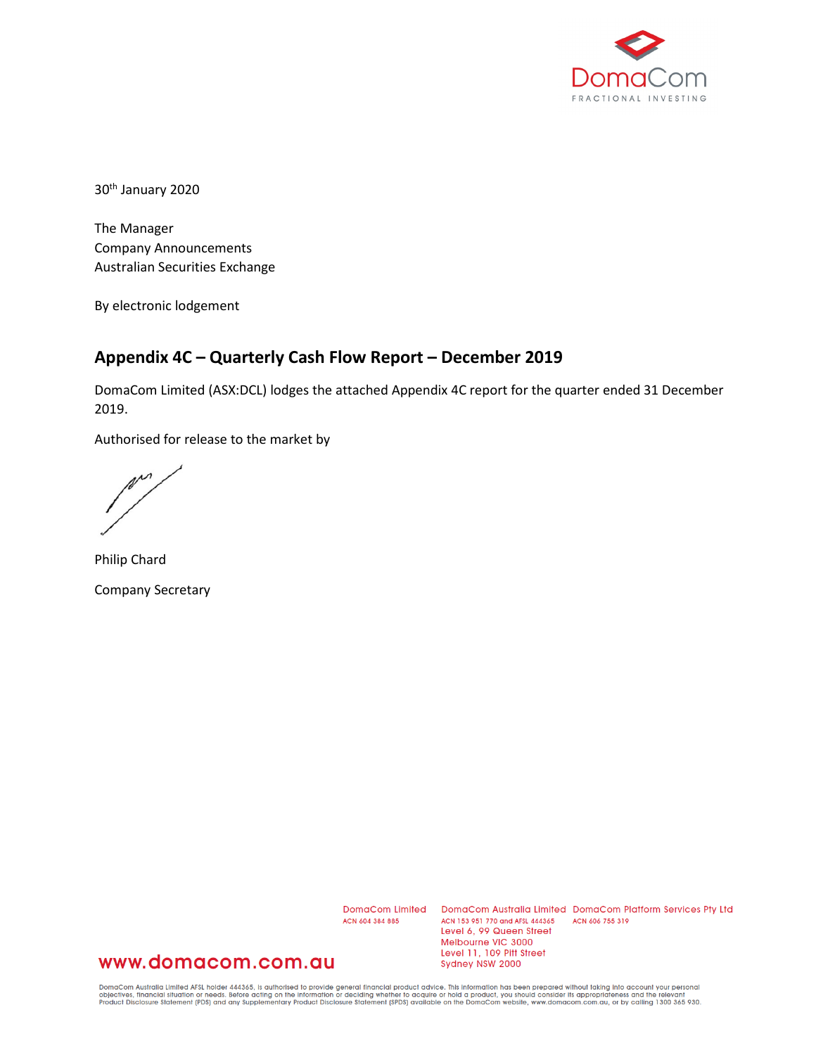

30th January 2020

The Manager Company Announcements Australian Securities Exchange

By electronic lodgement

# **Appendix 4C – Quarterly Cash Flow Report – December 2019**

DomaCom Limited (ASX:DCL) lodges the attached Appendix 4C report for the quarter ended 31 December 2019.

Authorised for release to the market by

m

Philip Chard Company Secretary

ACN 604 384 885

DomaCom Limited DomaCom Australia Limited DomaCom Platform Services Pty Ltd ACN 153 951 770 and AFSL 444365 ACN 606 755 319 Level 6, 99 Queen Street Melbourne VIC 3000 Level 11, 109 Pitt Street Sydney NSW 2000

# www.domacom.com.au

DomaCom Australia Limited AFSL holder 444365, is authorised to provide general financial product advice. This information has been prepared without taking into account your personal<br>objectives, financial situation or needs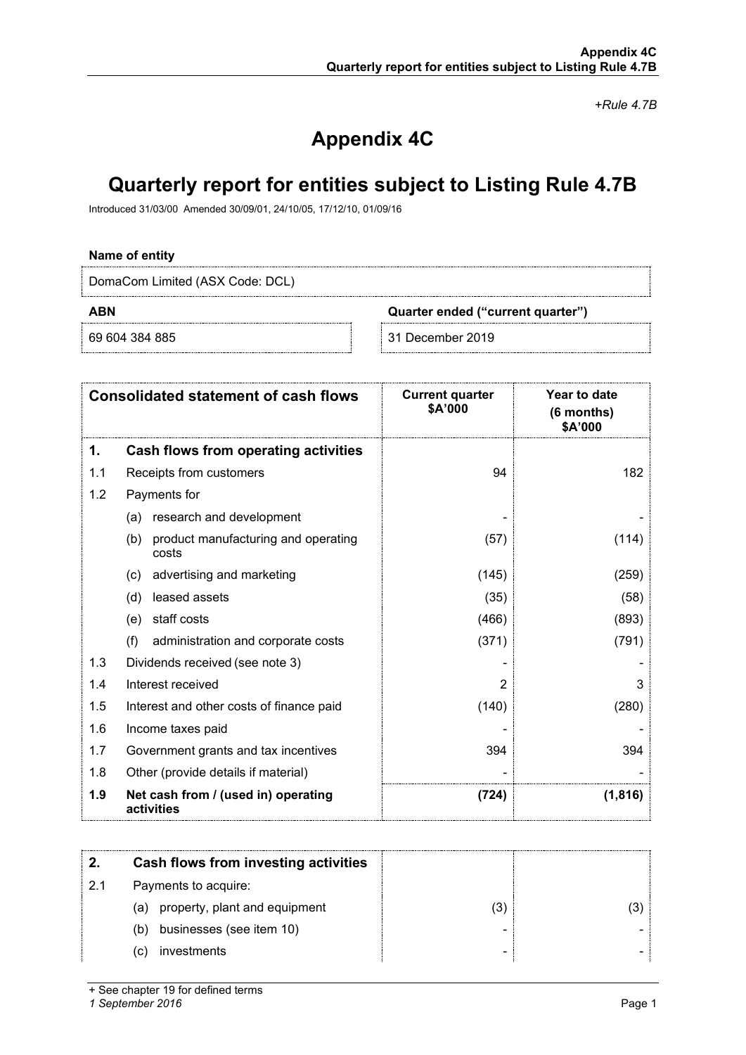*+Rule 4.7B*

# **Appendix 4C**

# **Quarterly report for entities subject to Listing Rule 4.7B**

Introduced 31/03/00 Amended 30/09/01, 24/10/05, 17/12/10, 01/09/16

### **Name of entity**

DomaCom Limited (ASX Code: DCL)

**ABN Quarter ended ("current quarter")**

69 604 384 885 31 December 2019

|     | <b>Consolidated statement of cash flows</b>         | <b>Current quarter</b><br>\$A'000 | Year to date<br>(6 months)<br>\$A'000 |
|-----|-----------------------------------------------------|-----------------------------------|---------------------------------------|
| 1.  | Cash flows from operating activities                |                                   |                                       |
| 1.1 | Receipts from customers                             | 94                                | 182                                   |
| 1.2 | Payments for                                        |                                   |                                       |
|     | research and development<br>(a)                     |                                   |                                       |
|     | (b)<br>product manufacturing and operating<br>costs | (57)                              | (114)                                 |
|     | advertising and marketing<br>(c)                    | (145)                             | (259)                                 |
|     | leased assets<br>(d)                                | (35)                              | (58)                                  |
|     | staff costs<br>(e)                                  | (466)                             | (893)                                 |
|     | (f)<br>administration and corporate costs           | (371)                             | (791)                                 |
| 1.3 | Dividends received (see note 3)                     |                                   |                                       |
| 1.4 | Interest received                                   | 2                                 | 3                                     |
| 1.5 | Interest and other costs of finance paid            | (140)                             | (280)                                 |
| 1.6 | Income taxes paid                                   |                                   |                                       |
| 1.7 | Government grants and tax incentives                | 394                               | 394                                   |
| 1.8 | Other (provide details if material)                 |                                   |                                       |
| 1.9 | Net cash from / (used in) operating<br>activities   | (724)                             | (1,816)                               |

|    | Cash flows from investing activities |  |
|----|--------------------------------------|--|
| 21 | Payments to acquire:                 |  |
|    | (a) property, plant and equipment    |  |
|    | businesses (see item 10)<br>(b)      |  |
|    | investments<br>(C)                   |  |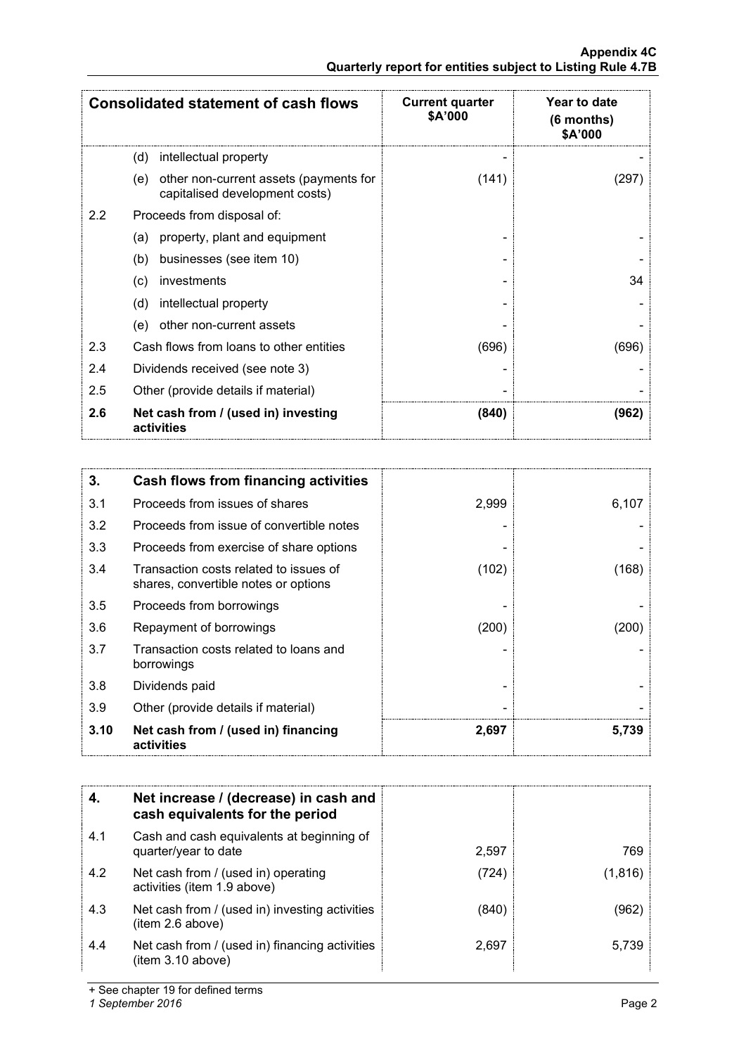|                  | <b>Consolidated statement of cash flows</b>                                     | <b>Current quarter</b><br>\$A'000 | Year to date<br>$(6$ months)<br>\$A'000 |
|------------------|---------------------------------------------------------------------------------|-----------------------------------|-----------------------------------------|
|                  | (d)<br>intellectual property                                                    |                                   |                                         |
|                  | other non-current assets (payments for<br>(e)<br>capitalised development costs) | (141)                             | (297)                                   |
| $2.2\phantom{0}$ | Proceeds from disposal of:                                                      |                                   |                                         |
|                  | property, plant and equipment<br>(a)                                            |                                   |                                         |
|                  | businesses (see item 10)<br>(b)                                                 |                                   |                                         |
|                  | investments<br>(c)                                                              |                                   | 34                                      |
|                  | (d)<br>intellectual property                                                    |                                   |                                         |
|                  | other non-current assets<br>(e)                                                 |                                   |                                         |
| 2.3              | Cash flows from loans to other entities                                         | (696)                             | (696)                                   |
| 2.4              | Dividends received (see note 3)                                                 |                                   |                                         |
| 2.5              | Other (provide details if material)                                             |                                   |                                         |
| 2.6              | Net cash from / (used in) investing<br>activities                               | (840)                             | (962)                                   |

| 3.   | Cash flows from financing activities                                           |       |       |
|------|--------------------------------------------------------------------------------|-------|-------|
| 3.1  | Proceeds from issues of shares                                                 | 2,999 | 6,107 |
| 3.2  | Proceeds from issue of convertible notes                                       |       |       |
| 3.3  | Proceeds from exercise of share options                                        |       |       |
| 3.4  | Transaction costs related to issues of<br>shares, convertible notes or options | (102) | (168) |
| 3.5  | Proceeds from borrowings                                                       |       |       |
| 3.6  | Repayment of borrowings                                                        | (200) |       |
| 3.7  | Transaction costs related to loans and<br>borrowings                           |       |       |
| 3.8  | Dividends paid                                                                 |       |       |
| 3.9  | Other (provide details if material)                                            |       |       |
| 3.10 | Net cash from / (used in) financing<br>activities                              | 2,697 | 5,739 |

|     | Net increase / (decrease) in cash and<br>cash equivalents for the period |       |         |
|-----|--------------------------------------------------------------------------|-------|---------|
| 4.1 | Cash and cash equivalents at beginning of<br>quarter/year to date        | 2.597 | 769     |
| 4.2 | Net cash from / (used in) operating<br>activities (item 1.9 above)       | (724) | (1.816) |
| 4.3 | Net cash from / (used in) investing activities<br>(item 2.6 above)       | (840) | '962    |
| 4.4 | Net cash from / (used in) financing activities<br>(item 3.10 above)      | 2,697 | 5.739   |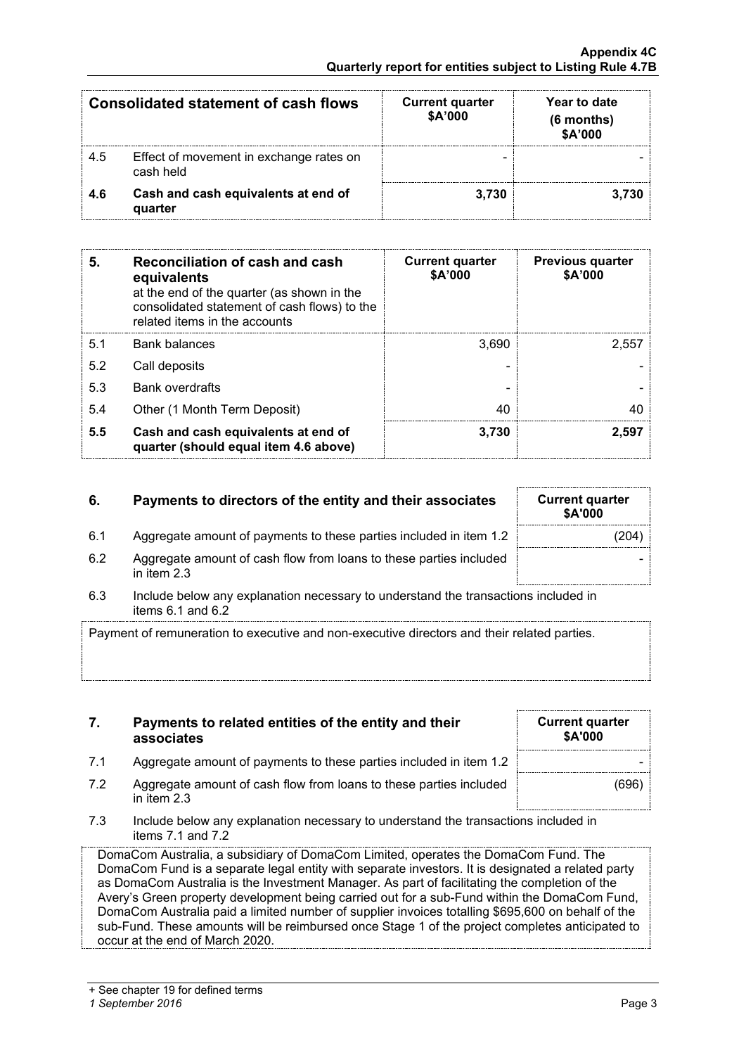|     | Consolidated statement of cash flows                 | <b>Current quarter</b><br>\$A'000 | Year to date<br>(6 months)<br>\$A'000 |
|-----|------------------------------------------------------|-----------------------------------|---------------------------------------|
| 4.5 | Effect of movement in exchange rates on<br>cash held | -                                 |                                       |
| 46  | Cash and cash equivalents at end of<br>quarter       | 3.730                             | -730                                  |

| 5.  | Reconciliation of cash and cash<br>equivalents<br>at the end of the quarter (as shown in the<br>consolidated statement of cash flows) to the<br>related items in the accounts | <b>Current quarter</b><br>\$A'000 | <b>Previous quarter</b><br>\$A'000 |
|-----|-------------------------------------------------------------------------------------------------------------------------------------------------------------------------------|-----------------------------------|------------------------------------|
| 5.1 | <b>Bank balances</b>                                                                                                                                                          | 3.690                             | 2.557                              |
| 5.2 | Call deposits                                                                                                                                                                 |                                   |                                    |
| 5.3 | <b>Bank overdrafts</b>                                                                                                                                                        |                                   |                                    |
| 5.4 | Other (1 Month Term Deposit)                                                                                                                                                  | 40                                |                                    |
| 5.5 | Cash and cash equivalents at end of<br>quarter (should equal item 4.6 above)                                                                                                  | 3.730                             | 2.597                              |

## **6.** Payments to directors of the entity and their associates Current quarter

- 6.1 Aggregate amount of payments to these parties included in item 1.2
- 6.2 Aggregate amount of cash flow from loans to these parties included in item 2.3
- 6.3 Include below any explanation necessary to understand the transactions items 6.1 and 6.2

Payment of remuneration to executive and non-executive directors and their related parties.

### **7. Payments to related entities of the entity and their associates**

- 7.1 Aggregate amount of payments to these parties included in item 1.2
- 7.2 Aggregate amount of cash flow from loans to these parties included in item 2.3
- 7.3 Include below any explanation necessary to understand the transactions included in items 7.1 and 7.2

DomaCom Australia, a subsidiary of DomaCom Limited, operates the DomaCom Fund. The DomaCom Fund is a separate legal entity with separate investors. It is designated a related party as DomaCom Australia is the Investment Manager. As part of facilitating the completion of the Avery's Green property development being carried out for a sub-Fund within the DomaCom Fund, DomaCom Australia paid a limited number of supplier invoices totalling \$695,600 on behalf of the sub-Fund. These amounts will be reimbursed once Stage 1 of the project completes anticipated to occur at the end of March 2020.

| (204)         |  |
|---------------|--|
|               |  |
|               |  |
| s included in |  |
|               |  |

**\$A'000**



+ See chapter 19 for defined terms *1 September 2016* Page 3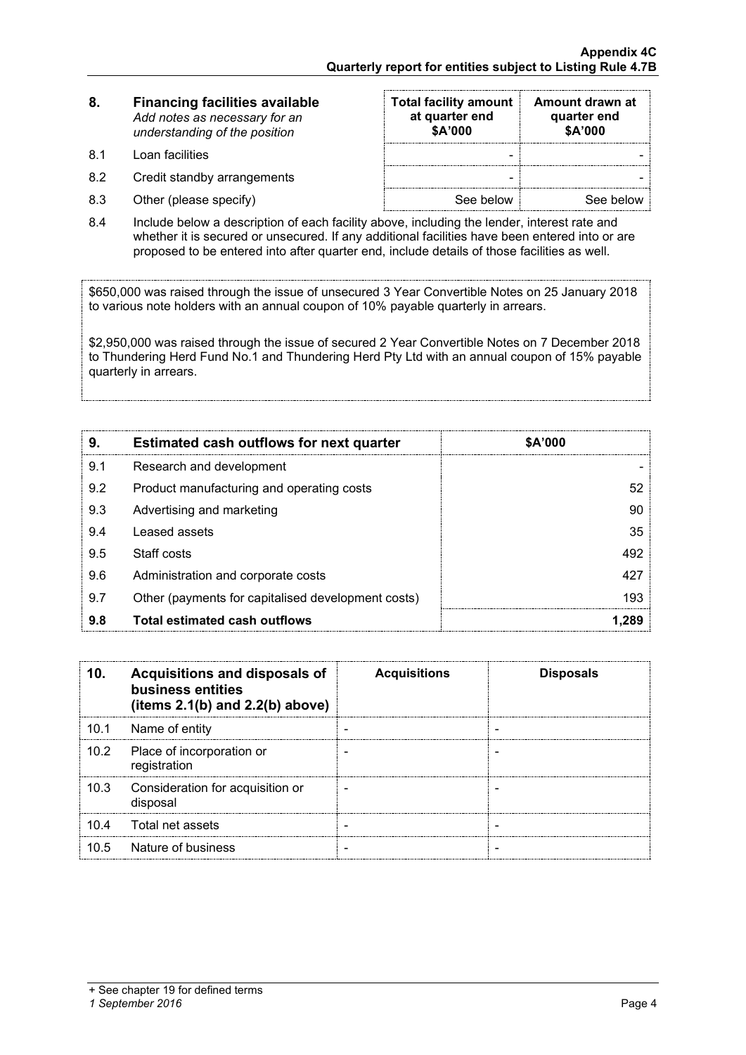| 8. | <b>Financing facilities available</b> |
|----|---------------------------------------|
|    | Add notes as necessary for an         |
|    | understanding of the position         |

- 8.1 Loan facilities
- 8.2 Credit standby arrangements
- $8.3$  Other (please specify)

| <b>Total facility amount</b><br>at quarter end<br>\$A'000 | Amount drawn at<br>quarter end<br>\$A'000 |
|-----------------------------------------------------------|-------------------------------------------|
|                                                           |                                           |
|                                                           |                                           |
| See below                                                 | See below                                 |

8.4 Include below a description of each facility above, including the lender, interest rate and whether it is secured or unsecured. If any additional facilities have been entered into or are proposed to be entered into after quarter end, include details of those facilities as well.

\$650,000 was raised through the issue of unsecured 3 Year Convertible Notes on 25 January 2018 to various note holders with an annual coupon of 10% payable quarterly in arrears.

\$2,950,000 was raised through the issue of secured 2 Year Convertible Notes on 7 December 2018 to Thundering Herd Fund No.1 and Thundering Herd Pty Ltd with an annual coupon of 15% payable quarterly in arrears.

| 9.  | <b>Estimated cash outflows for next quarter</b>    | <b>SA'000</b> |
|-----|----------------------------------------------------|---------------|
| 9.1 | Research and development                           |               |
| 9.2 | Product manufacturing and operating costs          | 52            |
| 9.3 | Advertising and marketing                          | 90            |
| 9.4 | Leased assets                                      | 35            |
| 9.5 | Staff costs                                        | 492           |
| 9.6 | Administration and corporate costs                 |               |
| 9.7 | Other (payments for capitalised development costs) | 193           |
| 9.8 | Total estimated cash outflows                      |               |

| 10.  | Acquisitions and disposals of<br>business entities<br>(items $2.1(b)$ and $2.2(b)$ above) | <b>Acquisitions</b> | <b>Disposals</b> |
|------|-------------------------------------------------------------------------------------------|---------------------|------------------|
| 10.1 | Name of entity                                                                            |                     |                  |
| 10.2 | Place of incorporation or<br>registration                                                 |                     |                  |
| 10.3 | Consideration for acquisition or<br>disposal                                              |                     |                  |
|      | 10.4 Total net assets                                                                     |                     |                  |
| 10.5 | Nature of business                                                                        |                     |                  |